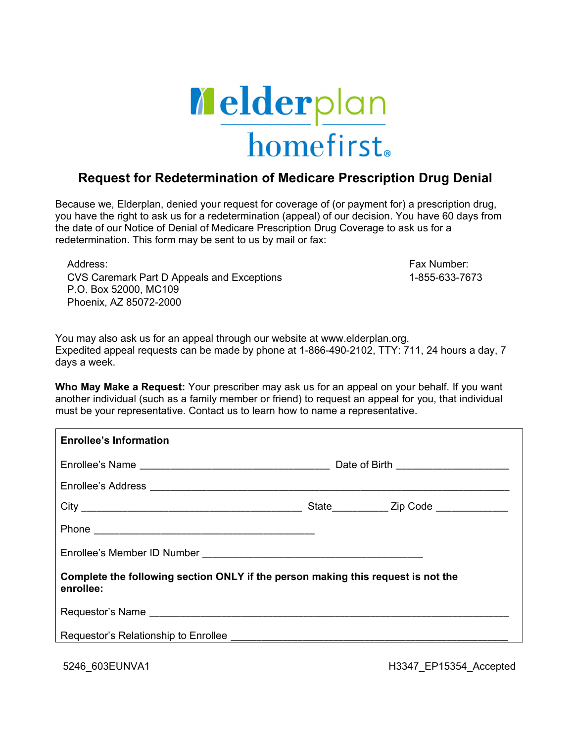

## **Request for Redetermination of Medicare Prescription Drug Denial**

Because we, Elderplan, denied your request for coverage of (or payment for) a prescription drug, you have the right to ask us for a redetermination (appeal) of our decision. You have 60 days from the date of our Notice of Denial of Medicare Prescription Drug Coverage to ask us for a redetermination. This form may be sent to us by mail or fax:

Address: CVS Caremark Part D Appeals and Exceptions P.O. Box 52000, MC109 Phoenix, AZ 85072-2000

Fax Number: 1-855-633-7673

You may also ask us for an appeal through our website at www.elderplan.org. Expedited appeal requests can be made by phone at 1-866-490-2102, TTY: 711, 24 hours a day, 7 days a week.

**Who May Make a Request:** Your prescriber may ask us for an appeal on your behalf. If you want another individual (such as a family member or friend) to request an appeal for you, that individual must be your representative. Contact us to learn how to name a representative.

| <b>Enrollee's Information</b>                                                                 |  |  |  |  |
|-----------------------------------------------------------------------------------------------|--|--|--|--|
|                                                                                               |  |  |  |  |
|                                                                                               |  |  |  |  |
|                                                                                               |  |  |  |  |
|                                                                                               |  |  |  |  |
|                                                                                               |  |  |  |  |
| Complete the following section ONLY if the person making this request is not the<br>enrollee: |  |  |  |  |
|                                                                                               |  |  |  |  |
|                                                                                               |  |  |  |  |

5246\_603EUNVA1 H3347\_EP15354\_Accepted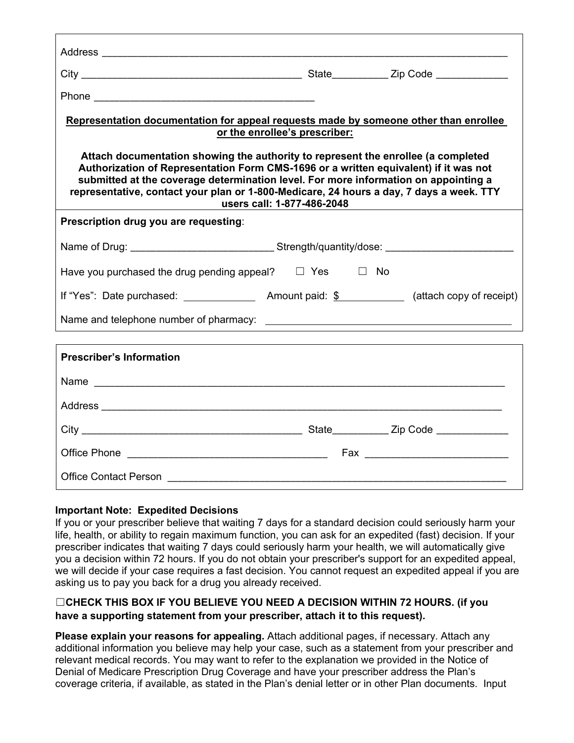| Representation documentation for appeal requests made by someone other than enrollee<br>or the enrollee's prescriber:<br>Attach documentation showing the authority to represent the enrollee (a completed<br>Authorization of Representation Form CMS-1696 or a written equivalent) if it was not<br>submitted at the coverage determination level. For more information on appointing a<br>representative, contact your plan or 1-800-Medicare, 24 hours a day, 7 days a week. TTY<br>users call: 1-877-486-2048 |      |  |  |  |
|--------------------------------------------------------------------------------------------------------------------------------------------------------------------------------------------------------------------------------------------------------------------------------------------------------------------------------------------------------------------------------------------------------------------------------------------------------------------------------------------------------------------|------|--|--|--|
|                                                                                                                                                                                                                                                                                                                                                                                                                                                                                                                    |      |  |  |  |
|                                                                                                                                                                                                                                                                                                                                                                                                                                                                                                                    |      |  |  |  |
| Have you purchased the drug pending appeal? $\square$ Yes $\square$ No                                                                                                                                                                                                                                                                                                                                                                                                                                             |      |  |  |  |
|                                                                                                                                                                                                                                                                                                                                                                                                                                                                                                                    |      |  |  |  |
|                                                                                                                                                                                                                                                                                                                                                                                                                                                                                                                    |      |  |  |  |
| <b>Prescriber's Information</b>                                                                                                                                                                                                                                                                                                                                                                                                                                                                                    |      |  |  |  |
|                                                                                                                                                                                                                                                                                                                                                                                                                                                                                                                    | Name |  |  |  |
|                                                                                                                                                                                                                                                                                                                                                                                                                                                                                                                    |      |  |  |  |
|                                                                                                                                                                                                                                                                                                                                                                                                                                                                                                                    |      |  |  |  |
|                                                                                                                                                                                                                                                                                                                                                                                                                                                                                                                    |      |  |  |  |
|                                                                                                                                                                                                                                                                                                                                                                                                                                                                                                                    |      |  |  |  |

## **Important Note: Expedited Decisions**

 you a decision within 72 hours. If you do not obtain your prescriber's support for an expedited appeal, If you or your prescriber believe that waiting 7 days for a standard decision could seriously harm your life, health, or ability to regain maximum function, you can ask for an expedited (fast) decision. If your prescriber indicates that waiting 7 days could seriously harm your health, we will automatically give we will decide if your case requires a fast decision. You cannot request an expedited appeal if you are asking us to pay you back for a drug you already received.

## ☐**CHECK THIS BOX IF YOU BELIEVE YOU NEED A DECISION WITHIN 72 HOURS. (if you have a supporting statement from your prescriber, attach it to this request).**

 relevant medical records. You may want to refer to the explanation we provided in the Notice of **Please explain your reasons for appealing.** Attach additional pages, if necessary. Attach any additional information you believe may help your case, such as a statement from your prescriber and Denial of Medicare Prescription Drug Coverage and have your prescriber address the Plan's coverage criteria, if available, as stated in the Plan's denial letter or in other Plan documents. Input